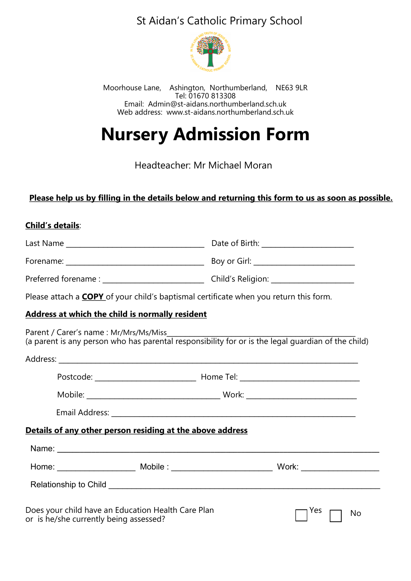## St Aidan's Catholic Primary School



Moorhouse Lane, Ashington, Northumberland, NE63 9LR Tel: 01670 813308 Email: Admin@st-aidans.northumberland.sch.uk Web address: www.st-aidans.northumberland.sch.uk

# **Nursery Admission Form**

Headteacher: Mr Michael Moran

#### **Please help us by filling in the details below and returning this form to us as soon as possible.**

#### **Child's details**:

|                                                                                                                                             | Boy or Girl: _____________________________ |  |
|---------------------------------------------------------------------------------------------------------------------------------------------|--------------------------------------------|--|
|                                                                                                                                             |                                            |  |
| Please attach a <b>COPY</b> of your child's baptismal certificate when you return this form.                                                |                                            |  |
| Address at which the child is normally resident                                                                                             |                                            |  |
| Parent / Carer's name: Mr/Mrs/Ms/Miss<br>(a parent is any person who has parental responsibility for or is the legal guardian of the child) |                                            |  |
|                                                                                                                                             |                                            |  |
|                                                                                                                                             |                                            |  |
|                                                                                                                                             |                                            |  |
|                                                                                                                                             |                                            |  |
| Details of any other person residing at the above address                                                                                   |                                            |  |
|                                                                                                                                             |                                            |  |
|                                                                                                                                             |                                            |  |
|                                                                                                                                             |                                            |  |
| Does your child have an Education Health Care Plan<br>or is he/she currently being assessed?                                                | Yes<br>No                                  |  |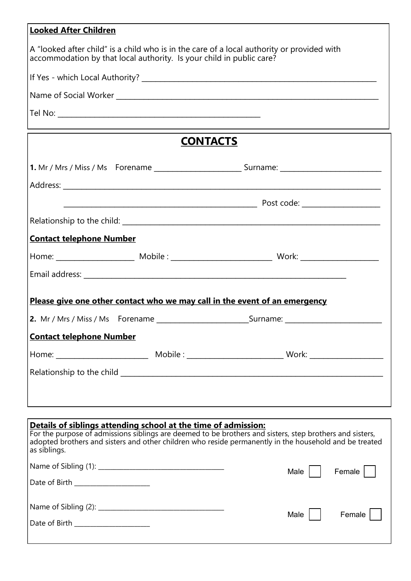| <b>Looked After Children</b>                                                                                                                                       |  |  |  |
|--------------------------------------------------------------------------------------------------------------------------------------------------------------------|--|--|--|
| A "looked after child" is a child who is in the care of a local authority or provided with<br>accommodation by that local authority. Is your child in public care? |  |  |  |
|                                                                                                                                                                    |  |  |  |
|                                                                                                                                                                    |  |  |  |
|                                                                                                                                                                    |  |  |  |
| <b>CONTACTS</b>                                                                                                                                                    |  |  |  |
|                                                                                                                                                                    |  |  |  |
|                                                                                                                                                                    |  |  |  |
|                                                                                                                                                                    |  |  |  |
|                                                                                                                                                                    |  |  |  |
| <b>Contact telephone Number</b>                                                                                                                                    |  |  |  |
|                                                                                                                                                                    |  |  |  |
|                                                                                                                                                                    |  |  |  |
| Please give one other contact who we may call in the event of an emergency                                                                                         |  |  |  |
| 2. Mr / Mrs / Miss / Ms Forename _______________________________Surname: ___________________________                                                               |  |  |  |
| <b>Contact telephone Number</b>                                                                                                                                    |  |  |  |
|                                                                                                                                                                    |  |  |  |
|                                                                                                                                                                    |  |  |  |
|                                                                                                                                                                    |  |  |  |
|                                                                                                                                                                    |  |  |  |

| Details of siblings attending school at the time of admission:<br>For the purpose of admissions siblings are deemed to be brothers and sisters, step brothers and sisters,<br>adopted brothers and sisters and other children who reside permanently in the household and be treated<br>as siblings. |      |        |
|------------------------------------------------------------------------------------------------------------------------------------------------------------------------------------------------------------------------------------------------------------------------------------------------------|------|--------|
| Date of Birth ___________________                                                                                                                                                                                                                                                                    | Male | Female |
| Date of Birth <b>Exercise 1996</b>                                                                                                                                                                                                                                                                   | Male | Female |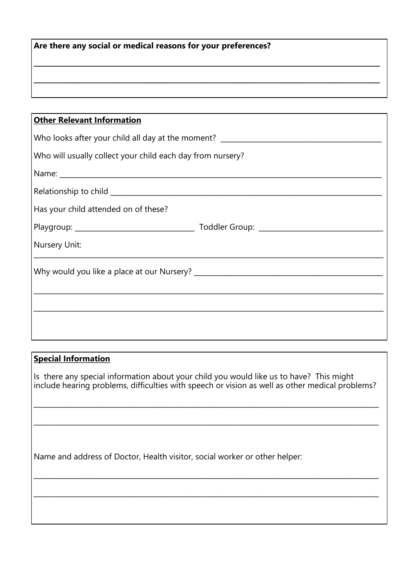| Are there any social or medical reasons for your preferences? |  |
|---------------------------------------------------------------|--|
|                                                               |  |

**\_\_\_\_\_\_\_\_\_\_\_\_\_\_\_\_\_\_\_\_\_\_\_\_\_\_\_\_\_\_\_\_\_\_\_\_\_\_\_\_\_\_\_\_\_\_\_\_\_\_\_\_\_\_\_\_\_\_\_\_\_\_\_\_\_\_\_\_\_\_\_\_\_\_\_\_\_\_\_\_\_\_**

| <b>Other Relevant Information</b>                                                |  |  |
|----------------------------------------------------------------------------------|--|--|
| Who looks after your child all day at the moment? ______________________________ |  |  |
| Who will usually collect your child each day from nursery?                       |  |  |
|                                                                                  |  |  |
|                                                                                  |  |  |
| Has your child attended on of these?                                             |  |  |
|                                                                                  |  |  |
| Nursery Unit:                                                                    |  |  |
|                                                                                  |  |  |
|                                                                                  |  |  |
|                                                                                  |  |  |
|                                                                                  |  |  |

#### **Special Information**

Is there any special information about your child you would like us to have? This might include hearing problems, difficulties with speech or vision as well as other medical problems?

\_\_\_\_\_\_\_\_\_\_\_\_\_\_\_\_\_\_\_\_\_\_\_\_\_\_\_\_\_\_\_\_\_\_\_\_\_\_\_\_\_\_\_\_\_\_\_\_\_\_\_\_\_\_\_\_\_\_\_\_\_\_\_\_\_\_\_\_\_\_\_\_\_\_\_

 $\mathcal{L}_\text{max}$  and  $\mathcal{L}_\text{max}$  and  $\mathcal{L}_\text{max}$  and  $\mathcal{L}_\text{max}$  and  $\mathcal{L}_\text{max}$  and  $\mathcal{L}_\text{max}$  and  $\mathcal{L}_\text{max}$ 

 $\mathcal{L}_\text{max}$  and  $\mathcal{L}_\text{max}$  and  $\mathcal{L}_\text{max}$  and  $\mathcal{L}_\text{max}$  and  $\mathcal{L}_\text{max}$  and  $\mathcal{L}_\text{max}$  and  $\mathcal{L}_\text{max}$ 

 $\mathcal{L}_\text{max}$  and  $\mathcal{L}_\text{max}$  and  $\mathcal{L}_\text{max}$  and  $\mathcal{L}_\text{max}$  and  $\mathcal{L}_\text{max}$  and  $\mathcal{L}_\text{max}$  and  $\mathcal{L}_\text{max}$ 

Name and address of Doctor, Health visitor, social worker or other helper: